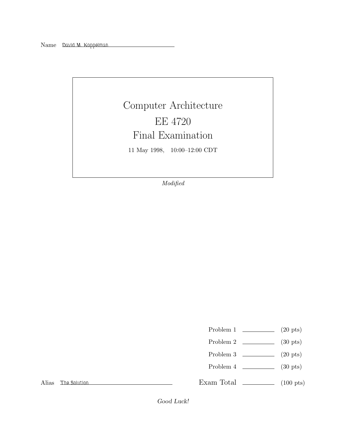## Computer Architecture EE 4720 Final Examination 11 May 1998, 10:00–12:00 CDT

Modified

| Problem 1 |  | $(20 \text{ pts})$ |
|-----------|--|--------------------|
|-----------|--|--------------------|

- Problem 2  $\sim$  (30 pts)
- Problem 3 (20 pts)
- Problem 4 (30 pts)

Alias *The Solution*

Exam Total  $\qquad \qquad$  (100 pts)

Good Luck!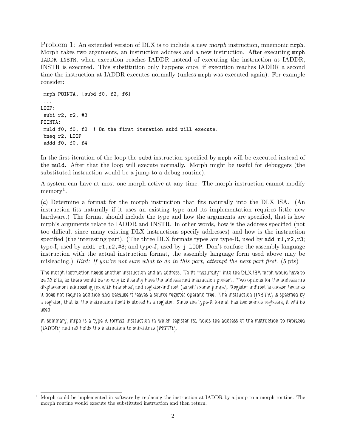Problem 1: An extended version of DLX is to include a new morph instruction, mnemonic mrph. Morph takes two arguments, an instruction address and a new instruction. After executing mrph IADDR INSTR, when execution reaches IADDR instead of executing the instruction at IADDR, INSTR is executed. This substitution only happens once, if execution reaches IADDR a second time the instruction at IADDR executes normally (unless mrph was executed again). For example consider:

```
mrph POINTA, [subd f0, f2, f6]
 ...
LOOP:
subi r2, r2, #3
POINTA:
muld f0, f0, f2 ! On the first iteration subd will execute.
bneq r2, LOOP
addd f0, f0, f4
```
In the first iteration of the loop the subd instruction specified by mrph will be executed instead of the muld. After that the loop will execute normally. Morph might be useful for debuggers (the substituted instruction would be a jump to a debug routine).

A system can have at most one morph active at any time. The morph instruction cannot modify  $memory<sup>1</sup>$ .

(a) Determine a format for the morph instruction that fits naturally into the DLX ISA. (An instruction fits naturally if it uses an existing type and its implementation requires little new hardware.) The format should include the type and how the arguments are specified, that is how mrph's arguments relate to IADDR and INSTR. In other words, how is the address specified (not too difficult since many existing DLX instructions specify addresses) and how is the instruction specified (the interesting part). (The three DLX formats types are type-R, used by add  $r1, r2, r3$ ; type-I, used by addi  $r1, r2, #3$ ; and type-J, used by j LOOP. Don't confuse the assembly language instruction with the actual instruction format, the assembly language form used above may be misleading.) Hint: If you're not sure what to do in this part, attempt the next part first. (5 pts)

*The morph instruction needs another instruction and an address. To fit "naturally" into the DLX ISA mrph would have to be 32 bits, so there would be no way to literally have the address and instruction present. Two options for the address are displacement addressing (as with branches) and register-indirect (as with some jumps). Register indirect is chosen because it does not require addition and because it leaves a source register operand free. The instruction (INSTR) is specified by a register, that is, the instruction itself is stored in a register. Since the type-R format has two source registers, it will be used.*

*In summary, mrph is a type-R format instruction in which register rs1 holds the address of the instruction to replaced (IADDR) and rs2 holds the instruction to substitute (INSTR).*

<sup>1</sup> Morph could be implemented in software by replacing the instruction at IADDR by a jump to a morph routine. The morph routine would execute the substituted instruction and then return.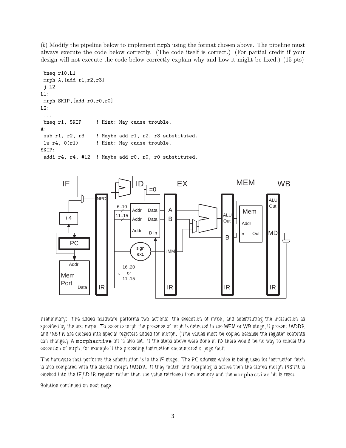(b) Modify the pipeline below to implement mrph using the format chosen above. The pipeline must always execute the code below correctly. (The code itself is correct.) (For partial credit if your design will not execute the code below correctly explain why and how it might be fixed.) (15 pts)

```
bneq r10,L1
mrph A,[add r1,r2,r3]
 j L2
L1:
 mrph SKIP,[add r0,r0,r0]
L2:
 ...
 bneq r1, SKIP ! Hint: May cause trouble.
A:
 sub r1, r2, r3 | Maybe add r1, r2, r3 substituted.
 lw r4, 0(r1) ! Hint: May cause trouble.
SKIP:
 addi r4, r4, #12 ! Maybe add r0, r0, r0 substituted.
```


*Preliminary: The added hardware performs two actions: the execution of mrph, and substituting the instruction as specified by the last mrph. To execute mrph the presence of mrph is detected in the MEM or WB stage, if present IADDR and INSTR are clocked into special registers added for morph. (The values must be copied because the register contents can change.) A* morphactive *bit is also set. If the steps above were done in ID there would be no way to cancel the execution of mrph, for example if the preceding instruction encountered a page fault.*

*The hardware that performs the substitution is in the IF stage. The PC address which is being used for instruction fetch is also compared with the stored morph IADDR. If they match and morphing is active then the stored morph INSTR is clocked into the IF/ID.IR register rather than the value retrieved from memory and the* morphactive *bit is reset.*

*Solution continued on next page.*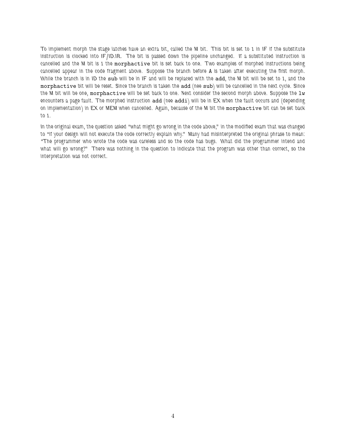*To implement morph the stage latches have an extra bit, called the M bit. This bit is set to 1 in IF if the substitute instruction is clocked into IF/ID.IR. The bit is passed down the pipeline unchanged. If a substituted instruction is cancelled and the M bit is 1 the* morphactive *bit is set back to one. Two examples of morphed instructions being cancelled appear in the code fragment above. Suppose the branch before* A *is taken after executing the first morph. While the branch is in ID the* sub *will be in IF and will be replaced with the* add*, the M bit will be set to 1, and the* morphactive *bit will be reset. Since the branch is taken the* add *(nee* sub*) will be cancelled in the next cycle. Since* the M bit will be one, morphactive will be set back to one. Next consider the second morph above. Suppose the lw *encounters a page fault. The morphed instruction* add *(nee* addi*) will be in EX when the fault occurs and (depending on implementation) in EX or MEM when cancelled. Again, because of the M bit the* morphactive *bit can be set back to 1.*

*In the original exam, the question asked "what might go wrong in the code above," in the modified exam that was changed to "if your design will not execute the code correctly explain why." Many had misinterpreted the original phrase to mean: "The programmer who wrote the code was careless and so the code has bugs. What did the programmer intend and what will go wrong?" There was nothing in the question to indicate that the program was other than correct, so the interpretation was not correct.*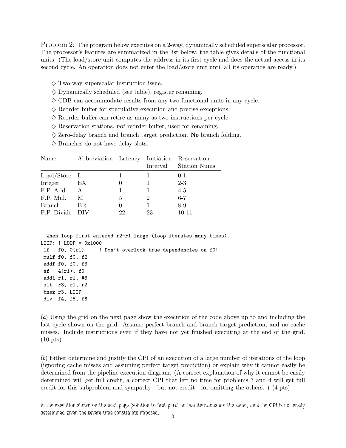Problem 2: The program below executes on a 2-way, dynamically scheduled superscalar processor. The processor's features are summarized in the list below, the table gives details of the functional units. (The load/store unit computes the address in its first cycle and does the actual access in its second cycle. An operation does not enter the load/store unit until all its operands are ready.)

- $\diamondsuit$  Two-way superscalar instruction issue.
- $\diamondsuit$  Dynamically scheduled (see table), register renaming.
- $\diamondsuit$  CDB can accommodate results from any two functional units in any cycle.
- $\Diamond$  Reorder buffer for speculative execution and precise exceptions.
- $\diamondsuit$  Reorder buffer can retire as many as two instructions per cycle.
- $\diamondsuit$  Reservation stations, not reorder buffer, used for renaming.
- $\diamondsuit$  Zero-delay branch and branch target prediction. **No** branch folding.
- $\diamondsuit$  Branches do not have delay slots.

| Name           | Abbreviation Latency Initiation Reservation |          | Interval | <b>Station Nums</b> |
|----------------|---------------------------------------------|----------|----------|---------------------|
| $Load/Store$ L |                                             |          |          | $0 - 1$             |
| Integer        | EX                                          |          |          | $2 - 3$             |
| F.P. Add       | A                                           |          |          | $4-5$               |
| F.P. Mul.      | M                                           | 5        | 2        | $6 - 7$             |
| Branch         | BR.                                         | $\theta$ |          | $8-9$               |
| F.P. Divide    | DIV                                         | 22       | 23       | $10 - 11$           |

! When loop first entered r2-r1 large (loop iterates many times). LOOP: ! LOOP = 0x1000 lf f0, 0(r1) ! Don't overlook true dependencies on f0! mulf f0, f0, f2 addf f0, f0, f3 sf 4(r1), f0 addi r1, r1, #8 slt r3, r1, r2 bnez r3, LOOP div f4, f5, f6

(a) Using the grid on the next page show the execution of the code above up to and including the last cycle shown on the grid. Assume perfect branch and branch target prediction, and no cache misses. Include instructions even if they have not yet finished executing at the end of the grid. (10 pts)

(b) Either determine and justify the CPI of an execution of a large number of iterations of the loop (ignoring cache misses and assuming perfect target prediction) or explain why it cannot easily be determined from the pipeline execution diagram. (A correct explanation of why it cannot be easily determined will get full credit, a correct CPI that left no time for problems 3 and 4 will get full credit for this subproblem and sympathy—but not credit—for omitting the others. ) (4 pts)

*In the execution shown on the next page (solution to first part) no two iterations are the same, thus the CPI is not easily determined given the severe time constraints imposed.* <sup>5</sup>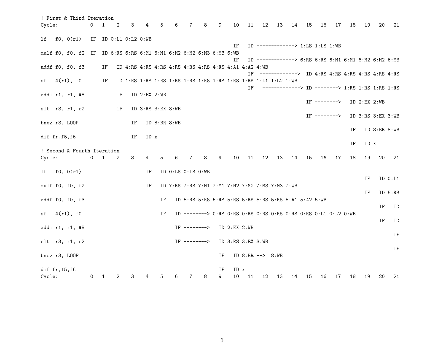| ! First & Third Iteration                                          |            |    |    |                      |                    |                         |                                                 |              |   |    |                                                      |    |                             |    |                                                                     |    |                |    |    |                   |              |         |
|--------------------------------------------------------------------|------------|----|----|----------------------|--------------------|-------------------------|-------------------------------------------------|--------------|---|----|------------------------------------------------------|----|-----------------------------|----|---------------------------------------------------------------------|----|----------------|----|----|-------------------|--------------|---------|
| Cycle:                                                             | 0          | 1  | 2  | 3                    | 4                  | 5                       | 6                                               | 7            | 8 | 9  | 10                                                   | 11 | 12                          | 13 | 14                                                                  | 15 | 16             | 17 | 18 | 19                | 20           | 21      |
| lf<br>f0, 0(r1)                                                    |            |    |    | IF ID 0:L1 0:L2 0:WB |                    |                         |                                                 |              |   |    |                                                      |    |                             |    |                                                                     |    |                |    |    |                   |              |         |
| mulf f0, f0, f2 IF ID 6:RS 6:RS 6:M1 6:M1 6:M2 6:M2 6:M3 6:M3 6:WB |            |    |    |                      |                    |                         |                                                 |              |   |    | ΙF                                                   |    |                             |    | ID -------------> 1:LS 1:LS 1:WB                                    |    |                |    |    |                   |              |         |
|                                                                    |            |    |    |                      |                    |                         |                                                 |              |   |    | ΙF                                                   |    |                             |    | ID ------------> 6:RS 6:RS 6:M1 6:M1 6:M2 6:M2 6:M3                 |    |                |    |    |                   |              |         |
| addf f0, f0, f3                                                    |            | IF |    |                      |                    |                         |                                                 |              |   |    |                                                      |    |                             |    |                                                                     |    |                |    |    |                   |              |         |
|                                                                    |            |    |    |                      |                    |                         |                                                 |              |   |    |                                                      |    |                             |    | IF $--------->$ ID $4:RS$ $4:RS$ $4:RS$ $4:RS$ $4:RS$ $4:RS$ $4:RS$ |    |                |    |    |                   |              |         |
| sf (1(r1), f0)                                                     |            | IF |    |                      |                    |                         |                                                 |              |   |    |                                                      |    |                             |    |                                                                     |    |                |    |    |                   |              |         |
| addi r1, r1, #8                                                    |            |    | IF |                      | $ID$ $2:EX$ $2:WB$ |                         |                                                 |              |   |    |                                                      | ΙF |                             |    | ------------> ID --------> 1:RS 1:RS 1:RS 1:RS                      |    |                |    |    |                   |              |         |
|                                                                    |            |    |    |                      |                    |                         |                                                 |              |   |    |                                                      |    |                             |    |                                                                     |    | $IF$ --------> |    |    | ID $2:EX$ $2:WB$  |              |         |
| slt r3, r1, r2                                                     |            |    | IF |                      |                    | ID $3:RS$ $3:EX$ $3:WB$ |                                                 |              |   |    |                                                      |    |                             |    |                                                                     |    |                |    |    |                   |              |         |
|                                                                    |            |    |    |                      |                    |                         |                                                 |              |   |    |                                                      |    |                             |    |                                                                     |    | $IF$ --------> |    |    | ID 3:RS 3:EX 3:WB |              |         |
| bnez r3, LOOP                                                      |            |    |    | IF                   |                    | ID $8:BR 8:WB$          |                                                 |              |   |    |                                                      |    |                             |    |                                                                     |    |                |    |    |                   |              |         |
|                                                                    |            |    |    |                      |                    |                         |                                                 |              |   |    |                                                      |    |                             |    |                                                                     |    |                |    | ΙF |                   | ID 8:BR 8:WB |         |
| dif $fr, f5, f6$                                                   |            |    |    | IF                   | ID x               |                         |                                                 |              |   |    |                                                      |    |                             |    |                                                                     |    |                |    | ΙF | ID X              |              |         |
| ! Second & Fourth Iteration                                        |            |    |    |                      |                    |                         |                                                 |              |   |    |                                                      |    |                             |    |                                                                     |    |                |    |    |                   |              |         |
| Cycle:                                                             | $0\quad 1$ |    | 2  | 3                    | 4                  | 5                       | 6                                               | 7            | 8 | 9  | 10                                                   | 11 | 12                          | 13 | 14                                                                  | 15 | 16             | 17 | 18 | 19                | 20           | 21      |
|                                                                    |            |    |    |                      |                    |                         |                                                 |              |   |    |                                                      |    |                             |    |                                                                     |    |                |    |    |                   |              |         |
| f0, 0(r1)<br>lf                                                    |            |    |    |                      | ΙF                 |                         | ID 0:LS 0:LS 0:WB                               |              |   |    |                                                      |    |                             |    |                                                                     |    |                |    |    |                   |              |         |
|                                                                    |            |    |    |                      |                    |                         |                                                 |              |   |    |                                                      |    |                             |    |                                                                     |    |                |    |    | ΙF                |              | ID 0:L1 |
| mulf f0, f0, f2                                                    |            |    |    |                      | IF                 |                         | ID 7:RS 7:RS 7:M1 7:M1 7:M2 7:M2 7:M3 7:M3 7:WB |              |   |    |                                                      |    |                             |    |                                                                     |    |                |    |    | ΙF                |              | ID 5:RS |
| addf f0, f0, f3                                                    |            |    |    |                      |                    | ΙF                      |                                                 |              |   |    | ID 5:RS 5:RS 5:RS 5:RS 5:RS 5:RS 5:RS 5:A1 5:A2 5:WB |    |                             |    |                                                                     |    |                |    |    |                   |              |         |
|                                                                    |            |    |    |                      |                    |                         |                                                 |              |   |    |                                                      |    |                             |    |                                                                     |    |                |    |    |                   | ΙF           | ID      |
| 4(r1), f0<br>sf                                                    |            |    |    |                      |                    | IF                      |                                                 |              |   |    |                                                      |    |                             |    |                                                                     |    |                |    |    |                   |              |         |
|                                                                    |            |    |    |                      |                    |                         |                                                 |              |   |    |                                                      |    |                             |    |                                                                     |    |                |    |    |                   | ΙF           | ID      |
| addi r1, r1, #8                                                    |            |    |    |                      |                    |                         |                                                 | IF --------> |   |    | $ID$ $2:EX$ $2:WB$                                   |    |                             |    |                                                                     |    |                |    |    |                   |              |         |
| slt r3, r1, r2                                                     |            |    |    |                      |                    |                         |                                                 | IF $------>$ |   |    | ID 3:RS 3:EX 3:WB                                    |    |                             |    |                                                                     |    |                |    |    |                   |              | IF      |
|                                                                    |            |    |    |                      |                    |                         |                                                 |              |   |    |                                                      |    |                             |    |                                                                     |    |                |    |    |                   |              | IF      |
| bnez r3, LOOP                                                      |            |    |    |                      |                    |                         |                                                 |              |   | ΙF |                                                      |    | ID $8:BR \leftarrow > 8:WB$ |    |                                                                     |    |                |    |    |                   |              |         |
|                                                                    |            |    |    |                      |                    |                         |                                                 |              |   |    |                                                      |    |                             |    |                                                                     |    |                |    |    |                   |              |         |
| dif fr, f5, f6                                                     |            |    |    |                      |                    |                         |                                                 |              |   | ΙF | ID x                                                 |    |                             |    |                                                                     |    |                |    |    |                   |              |         |
| Cycle:                                                             | $\sigma$   | 1  | 2  | 3                    |                    |                         | 6                                               | 7            | 8 | 9  | 10                                                   | 11 | 12                          | 13 | 14                                                                  | 15 | 16             | 17 | 18 | 19                | 20           | 21      |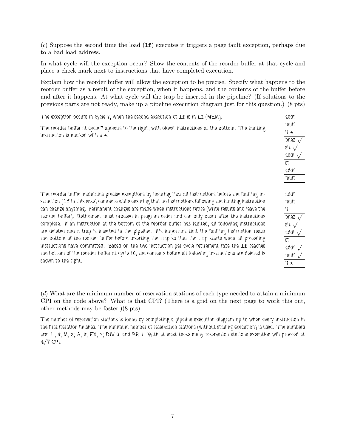$(c)$  Suppose the second time the load  $(1f)$  executes it triggers a page fault exception, perhaps due to a bad load address.

In what cycle will the exception occur? Show the contents of the reorder buffer at that cycle and place a check mark next to instructions that have completed execution.

Explain how the reorder buffer will allow the exception to be precise. Specify what happens to the reorder buffer as a result of the exception, when it happens, and the contents of the buffer before and after it happens. At what cycle will the trap be inserted in the pipeline? (If solutions to the previous parts are not ready, make up a pipeline execution diagram just for this question.) (8 pts)

*The exception occurs in cycle 7, when the second execution of* lf *is in L2 (MEM).*

*The reorder buffer at cycle 7 appears to the right, with oldest instructions at the bottom. The faulting instruction is marked with a*  $\star$ *.* 

| addf |
|------|
| mulf |
| If ★ |
| bnez |
| slt. |
| addi |
| Sf   |
| addf |
| mult |

| addf |
|------|
| mult |
| ١f   |
| bnez |
| slt. |
| addi |
| Sf   |
| addf |
| mulf |
| ١f   |

*The reorder buffer maintains precise exceptions by insuring that all instructions before the faulting instruction (*lf *in this case) complete while ensuring that no instructions following the faulting instruction can change anything. Permanent changes are made when instructions retire (write results and leave the reorder buffer). Retirement must proceed in program order and can only occur after the instructions complete. If an instruction at the bottom of the reorder buffer has faulted, all following instructions are deleted and a trap is inserted in the pipeline. It's important that the faulting instruction reach the bottom of the reorder buffer before inserting the trap so that the trap starts when all preceding* instructions have committed. Based on the two-instruction-per-cycle retirement rate the 1f reaches *the bottom of the reorder buffer at cycle 16, the contents before all following instructions are deleted is shown to the right.*

(d) What are the minimum number of reservation stations of each type needed to attain a minimum CPI on the code above? What is that CPI? (There is a grid on the next page to work this out, other methods may be faster.)(8 pts)

*The number of reservation stations is found by completing a pipeline execution diagram up to when every instruction in the first iteration finishes. The minimum number of reservation stations (without stalling execution) is used. The numbers are: L, 4; M, 3; A, 3; EX, 2; DIV 0, and BR 1. With at least these many reservation stations execution will proceed at* 4/7 *CPI.*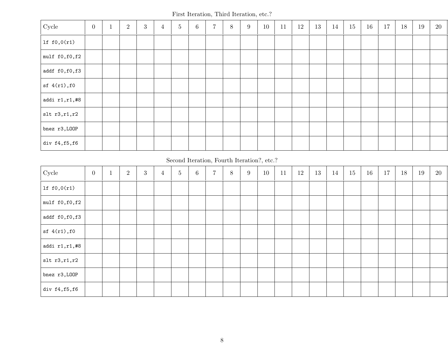First Iteration, Third Iteration, etc.?

| Cycle             | $\overline{0}$ | $\overline{2}$ | $\boldsymbol{3}$ | $\overline{4}$ | $\bf 5$ | 6 | $\overline{7}$ | $8\,$ | $\boldsymbol{9}$ | 10 | 11 | $12\,$ | 13 | 14 | 15 | 16 | 17 | 18 | $19\,$ | 20 |
|-------------------|----------------|----------------|------------------|----------------|---------|---|----------------|-------|------------------|----|----|--------|----|----|----|----|----|----|--------|----|
| lf $f0,0(r1)$     |                |                |                  |                |         |   |                |       |                  |    |    |        |    |    |    |    |    |    |        |    |
| mulf f0, f0, f2   |                |                |                  |                |         |   |                |       |                  |    |    |        |    |    |    |    |    |    |        |    |
| addf f0,f0,f3     |                |                |                  |                |         |   |                |       |                  |    |    |        |    |    |    |    |    |    |        |    |
| sf(4(r1),f0)      |                |                |                  |                |         |   |                |       |                  |    |    |        |    |    |    |    |    |    |        |    |
| addi $r1, r1, #8$ |                |                |                  |                |         |   |                |       |                  |    |    |        |    |    |    |    |    |    |        |    |
| str 1, r1, r2     |                |                |                  |                |         |   |                |       |                  |    |    |        |    |    |    |    |    |    |        |    |
| bnez r3, LOOP     |                |                |                  |                |         |   |                |       |                  |    |    |        |    |    |    |    |    |    |        |    |
| div $f4,f5,f6$    |                |                |                  |                |         |   |                |       |                  |    |    |        |    |    |    |    |    |    |        |    |

Second Iteration, Fourth Iteration?, etc.?

| Cycle             | $\overline{0}$ | $\overline{2}$ | $\mathbf{3}$ | $\overline{4}$ | $\overline{5}$ | $6\phantom{.}$ | $\overline{7}$ | $8\,$ | 9 | 10 | 11 | 12 | 13 | 14 | 15 | 16 | 17 | 18 | 19 | 20 |
|-------------------|----------------|----------------|--------------|----------------|----------------|----------------|----------------|-------|---|----|----|----|----|----|----|----|----|----|----|----|
| lf $f0,0(r1)$     |                |                |              |                |                |                |                |       |   |    |    |    |    |    |    |    |    |    |    |    |
| mulf f0, f0, f2   |                |                |              |                |                |                |                |       |   |    |    |    |    |    |    |    |    |    |    |    |
| addf f0,f0,f3     |                |                |              |                |                |                |                |       |   |    |    |    |    |    |    |    |    |    |    |    |
| sf(4(r1),f0)      |                |                |              |                |                |                |                |       |   |    |    |    |    |    |    |    |    |    |    |    |
| addi $r1, r1, #8$ |                |                |              |                |                |                |                |       |   |    |    |    |    |    |    |    |    |    |    |    |
| $slt$ r3,r1,r2    |                |                |              |                |                |                |                |       |   |    |    |    |    |    |    |    |    |    |    |    |
| bnez r3, LOOP     |                |                |              |                |                |                |                |       |   |    |    |    |    |    |    |    |    |    |    |    |
| div $f4,f5,f6$    |                |                |              |                |                |                |                |       |   |    |    |    |    |    |    |    |    |    |    |    |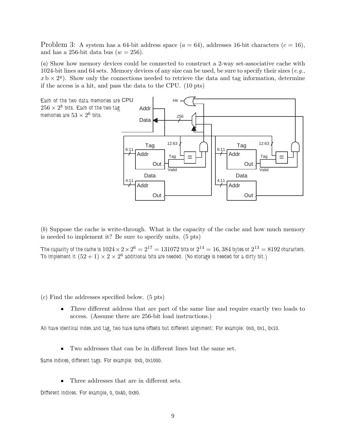Problem 3: A system has a 64-bit address space  $(a = 64)$ , addresses 16-bit characters  $(c = 16)$ , and has a 256-bit data bus  $(w = 256)$ .

(a) Show how memory devices could be connected to construct a 2-way set-associative cache with 1024-bit lines and 64 sets. Memory devices of any size can be used, be sure to specify their sizes  $(e.g.,)$  $x \text{ b} \times 2^y$ ). Show only the connections needed to retrieve the data and tag information, determine if the access is a hit, and pass the data to the CPU. (10 pts)



(b) Suppose the cache is write-through. What is the capacity of the cache and how much memory is needed to implement it? Be sure to specify units. (5 pts)

*The capacity of the cache is*  $1024 \times 2 \times 2^6 = 2^{17} = 131072$  bits or  $2^{14} = 16,384$  bytes or  $2^{13} = 8192$  characters. *To implement it*  $(52 + 1) \times 2 \times 2^6$  additional bits are needed. (No storage is needed for a dirty bit.)

(c) Find the addresses specified below. (5 pts)

• Three different address that are part of the same line and require exactly two loads to access. (Assume there are 256-bit load instructions.)

*All have identical index and tag, two have same offsets but different alignment: For example: 0x0, 0x1, 0x10.*

• Two addresses that can be in different lines but the same set.

*Same indices, different tags. For example: 0x0, 0x1000.*

• Three addresses that are in different sets.

*Different indices. For example, 0, 0x40, 0x80.*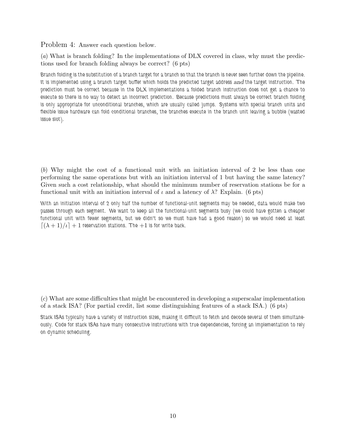Problem 4: Answer each question below.

(a) What is branch folding? In the implementations of DLX covered in class, why must the predictions used for branch folding always be correct? (6 pts)

*Branch folding is the substitution of a branch target for a branch so that the branch is never seen further down the pipeline. It is implemented using a branch target buffer which holds the predicted target address* and *the target instruction. The prediction must be correct because in the DLX implementations a folded branch instruction does not get a chance to execute so there is no way to detect an incorrect prediction. Because predictions must always be correct branch folding is only appropriate for unconditional branches, which are usually called jumps. Systems with special branch units and flexible issue hardware can fold conditional branches, the branches execute in the branch unit leaving a bubble (wasted issue slot).*

(b) Why might the cost of a functional unit with an initiation interval of 2 be less than one performing the same operations but with an initiation interval of 1 but having the same latency? Given such a cost relationship, what should the minimum number of reservation stations be for a functional unit with an initiation interval of  $\iota$  and a latency of  $\lambda$ ? Explain. (6 pts)

*With an initiation interval of 2 only half the number of functional-unit segments may be needed, data would make two passes through each segment. We want to keep all the functional-unit segments busy (we could have gotten a cheaper functional unit with fewer segments, but we didn't so we must have had a good reason) so we would need at least*  $\left[ (\lambda + 1)/\iota \right] + 1$  reservation stations. The  $+1$  is for write back.

(c) What are some difficulties that might be encountered in developing a superscalar implementation of a stack ISA? (For partial credit, list some distinguishing features of a stack ISA.) (6 pts)

*Stack ISAs typically have a variety of instruction sizes, making it difficult to fetch and decode several of them simultaneously. Code for stack ISAs have many consecutive instructions with true dependencies, forcing an implementation to rely on dynamic scheduling.*